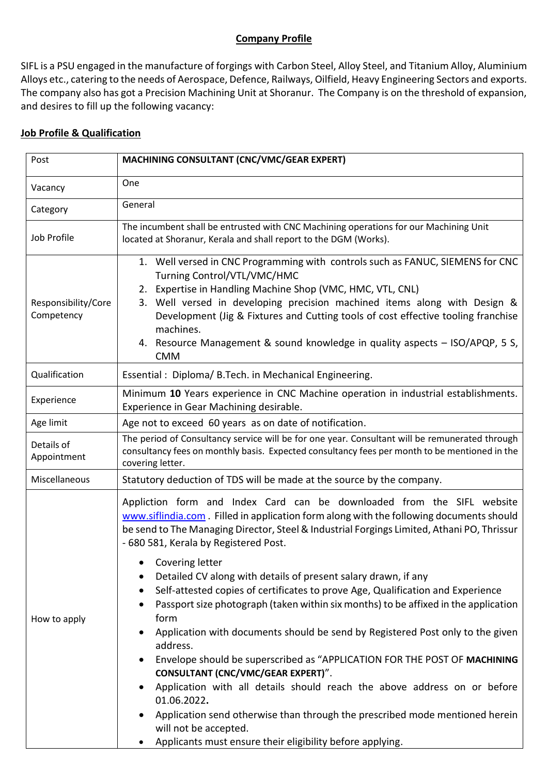## **Company Profile**

SIFL is a PSU engaged in the manufacture of forgings with Carbon Steel, Alloy Steel, and Titanium Alloy, Aluminium Alloys etc., catering to the needs of Aerospace, Defence, Railways, Oilfield, Heavy Engineering Sectors and exports. The company also has got a Precision Machining Unit at Shoranur. The Company is on the threshold of expansion, and desires to fill up the following vacancy:

## **Job Profile & Qualification**

| Post                              | <b>MACHINING CONSULTANT (CNC/VMC/GEAR EXPERT)</b>                                                                                                                                                                                                                                                                                                                                                                                                                                                                                                                                                                                                                                                                                                                                                                                                                                                                                                                                                                                                                                      |
|-----------------------------------|----------------------------------------------------------------------------------------------------------------------------------------------------------------------------------------------------------------------------------------------------------------------------------------------------------------------------------------------------------------------------------------------------------------------------------------------------------------------------------------------------------------------------------------------------------------------------------------------------------------------------------------------------------------------------------------------------------------------------------------------------------------------------------------------------------------------------------------------------------------------------------------------------------------------------------------------------------------------------------------------------------------------------------------------------------------------------------------|
| Vacancy                           | One                                                                                                                                                                                                                                                                                                                                                                                                                                                                                                                                                                                                                                                                                                                                                                                                                                                                                                                                                                                                                                                                                    |
| Category                          | General                                                                                                                                                                                                                                                                                                                                                                                                                                                                                                                                                                                                                                                                                                                                                                                                                                                                                                                                                                                                                                                                                |
| Job Profile                       | The incumbent shall be entrusted with CNC Machining operations for our Machining Unit<br>located at Shoranur, Kerala and shall report to the DGM (Works).                                                                                                                                                                                                                                                                                                                                                                                                                                                                                                                                                                                                                                                                                                                                                                                                                                                                                                                              |
| Responsibility/Core<br>Competency | 1. Well versed in CNC Programming with controls such as FANUC, SIEMENS for CNC<br>Turning Control/VTL/VMC/HMC<br>2. Expertise in Handling Machine Shop (VMC, HMC, VTL, CNL)<br>3. Well versed in developing precision machined items along with Design &<br>Development (Jig & Fixtures and Cutting tools of cost effective tooling franchise<br>machines.<br>4. Resource Management & sound knowledge in quality aspects - ISO/APQP, 5 S,<br><b>CMM</b>                                                                                                                                                                                                                                                                                                                                                                                                                                                                                                                                                                                                                               |
| Qualification                     | Essential: Diploma/ B. Tech. in Mechanical Engineering.                                                                                                                                                                                                                                                                                                                                                                                                                                                                                                                                                                                                                                                                                                                                                                                                                                                                                                                                                                                                                                |
| Experience                        | Minimum 10 Years experience in CNC Machine operation in industrial establishments.<br>Experience in Gear Machining desirable.                                                                                                                                                                                                                                                                                                                                                                                                                                                                                                                                                                                                                                                                                                                                                                                                                                                                                                                                                          |
| Age limit                         | Age not to exceed 60 years as on date of notification.                                                                                                                                                                                                                                                                                                                                                                                                                                                                                                                                                                                                                                                                                                                                                                                                                                                                                                                                                                                                                                 |
| Details of<br>Appointment         | The period of Consultancy service will be for one year. Consultant will be remunerated through<br>consultancy fees on monthly basis. Expected consultancy fees per month to be mentioned in the<br>covering letter.                                                                                                                                                                                                                                                                                                                                                                                                                                                                                                                                                                                                                                                                                                                                                                                                                                                                    |
| Miscellaneous                     | Statutory deduction of TDS will be made at the source by the company.                                                                                                                                                                                                                                                                                                                                                                                                                                                                                                                                                                                                                                                                                                                                                                                                                                                                                                                                                                                                                  |
| How to apply                      | Appliction form and Index Card can be downloaded from the SIFL website<br>www.siflindia.com . Filled in application form along with the following documents should<br>be send to The Managing Director, Steel & Industrial Forgings Limited, Athani PO, Thrissur<br>- 680 581, Kerala by Registered Post.<br>Covering letter<br>Detailed CV along with details of present salary drawn, if any<br>٠<br>Self-attested copies of certificates to prove Age, Qualification and Experience<br>٠<br>Passport size photograph (taken within six months) to be affixed in the application<br>form<br>Application with documents should be send by Registered Post only to the given<br>address.<br>Envelope should be superscribed as "APPLICATION FOR THE POST OF MACHINING<br>٠<br>CONSULTANT (CNC/VMC/GEAR EXPERT)".<br>Application with all details should reach the above address on or before<br>٠<br>01.06.2022.<br>Application send otherwise than through the prescribed mode mentioned herein<br>will not be accepted.<br>Applicants must ensure their eligibility before applying. |